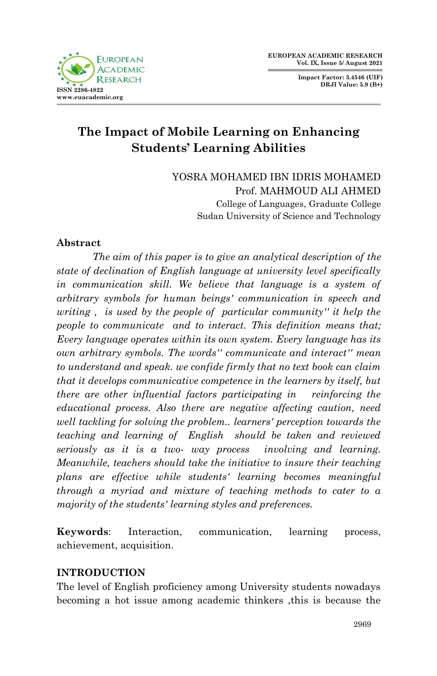**Impact Factor: 3.4546 (UIF) DRJI Value: 5.9 (B+)**



# **The Impact of Mobile Learning on Enhancing Students' Learning Abilities**

YOSRA MOHAMED IBN IDRIS MOHAMED Prof. MAHMOUD ALI AHMED College of Languages, Graduate College Sudan University of Science and Technology

### **Abstract**

*The aim of this paper is to give an analytical description of the state of declination of English language at university level specifically in communication skill. We believe that language is a system of arbitrary symbols for human beings' communication in speech and writing , is used by the people of particular community'' it help the people to communicate and to interact. This definition means that; Every language operates within its own system. Every language has its own arbitrary symbols. The words'' communicate and interact'' mean to understand and speak. we confide firmly that no text book can claim that it develops communicative competence in the learners by itself, but there are other influential factors participating in reinforcing the educational process. Also there are negative affecting caution, need well tackling for solving the problem.. learners' perception towards the teaching and learning of English should be taken and reviewed seriously as it is a two- way process involving and learning. Meanwhile, teachers should take the initiative to insure their teaching plans are effective while students' learning becomes meaningful through a myriad and mixture of teaching methods to cater to a majority of the students' learning styles and preferences.*

**Keywords**: Interaction, communication, learning process, achievement, acquisition.

### **INTRODUCTION**

The level of English proficiency among University students nowadays becoming a hot issue among academic thinkers ,this is because the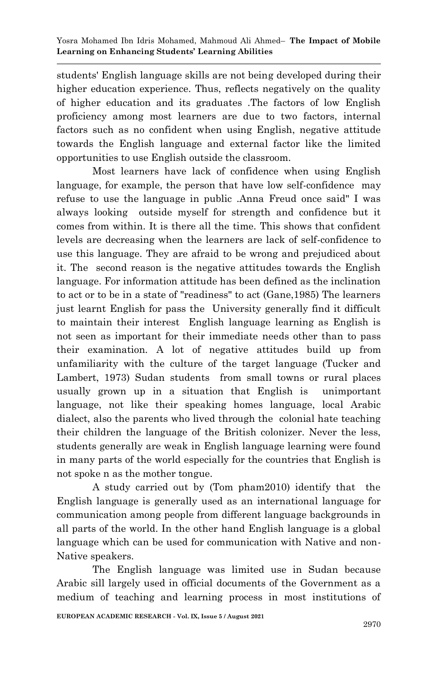students' English language skills are not being developed during their higher education experience. Thus, reflects negatively on the quality of higher education and its graduates .The factors of low English proficiency among most learners are due to two factors, internal factors such as no confident when using English, negative attitude towards the English language and external factor like the limited opportunities to use English outside the classroom.

Most learners have lack of confidence when using English language, for example, the person that have low self-confidence may refuse to use the language in public .Anna Freud once said" I was always looking outside myself for strength and confidence but it comes from within. It is there all the time. This shows that confident levels are decreasing when the learners are lack of self-confidence to use this language. They are afraid to be wrong and prejudiced about it. The second reason is the negative attitudes towards the English language. For information attitude has been defined as the inclination to act or to be in a state of "readiness" to act (Gane,1985) The learners just learnt English for pass the University generally find it difficult to maintain their interest English language learning as English is not seen as important for their immediate needs other than to pass their examination. A lot of negative attitudes build up from unfamiliarity with the culture of the target language (Tucker and Lambert, 1973) Sudan students from small towns or rural places usually grown up in a situation that English is unimportant language, not like their speaking homes language, local Arabic dialect, also the parents who lived through the colonial hate teaching their children the language of the British colonizer. Never the less, students generally are weak in English language learning were found in many parts of the world especially for the countries that English is not spoke n as the mother tongue.

A study carried out by (Tom pham2010) identify that the English language is generally used as an international language for communication among people from different language backgrounds in all parts of the world. In the other hand English language is a global language which can be used for communication with Native and non-Native speakers.

The English language was limited use in Sudan because Arabic sill largely used in official documents of the Government as a medium of teaching and learning process in most institutions of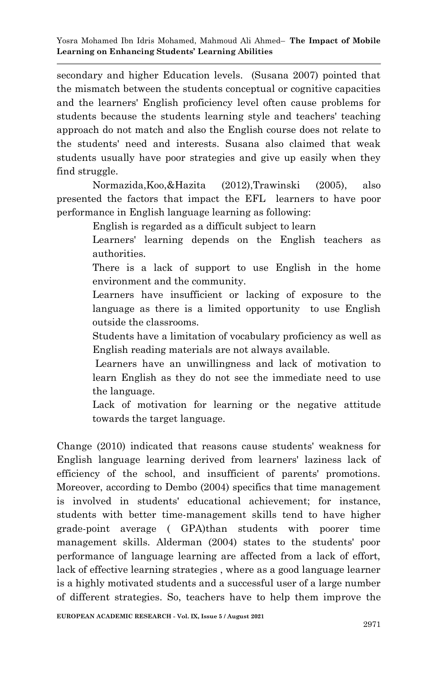secondary and higher Education levels. (Susana 2007) pointed that the mismatch between the students conceptual or cognitive capacities and the learners' English proficiency level often cause problems for students because the students learning style and teachers' teaching approach do not match and also the English course does not relate to the students' need and interests. Susana also claimed that weak students usually have poor strategies and give up easily when they find struggle.

Normazida,Koo,&Hazita (2012),Trawinski (2005), also presented the factors that impact the EFL learners to have poor performance in English language learning as following:

English is regarded as a difficult subject to learn

Learners' learning depends on the English teachers as authorities.

There is a lack of support to use English in the home environment and the community.

Learners have insufficient or lacking of exposure to the language as there is a limited opportunity to use English outside the classrooms.

Students have a limitation of vocabulary proficiency as well as English reading materials are not always available.

Learners have an unwillingness and lack of motivation to learn English as they do not see the immediate need to use the language.

Lack of motivation for learning or the negative attitude towards the target language.

Change (2010) indicated that reasons cause students' weakness for English language learning derived from learners' laziness lack of efficiency of the school, and insufficient of parents' promotions. Moreover, according to Dembo (2004) specifics that time management is involved in students' educational achievement; for instance, students with better time-management skills tend to have higher grade-point average ( GPA)than students with poorer time management skills. Alderman (2004) states to the students' poor performance of language learning are affected from a lack of effort, lack of effective learning strategies , where as a good language learner is a highly motivated students and a successful user of a large number of different strategies. So, teachers have to help them improve the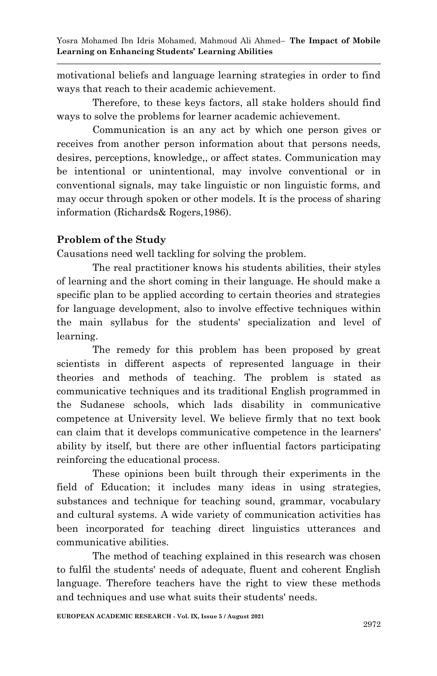motivational beliefs and language learning strategies in order to find ways that reach to their academic achievement.

Therefore, to these keys factors, all stake holders should find ways to solve the problems for learner academic achievement.

Communication is an any act by which one person gives or receives from another person information about that persons needs, desires, perceptions, knowledge,, or affect states. Communication may be intentional or unintentional, may involve conventional or in conventional signals, may take linguistic or non linguistic forms, and may occur through spoken or other models. It is the process of sharing information (Richards& Rogers,1986).

## **Problem of the Study**

Causations need well tackling for solving the problem.

The real practitioner knows his students abilities, their styles of learning and the short coming in their language. He should make a specific plan to be applied according to certain theories and strategies for language development, also to involve effective techniques within the main syllabus for the students' specialization and level of learning.

The remedy for this problem has been proposed by great scientists in different aspects of represented language in their theories and methods of teaching. The problem is stated as communicative techniques and its traditional English programmed in the Sudanese schools, which lads disability in communicative competence at University level. We believe firmly that no text book can claim that it develops communicative competence in the learners' ability by itself, but there are other influential factors participating reinforcing the educational process.

These opinions been built through their experiments in the field of Education; it includes many ideas in using strategies, substances and technique for teaching sound, grammar, vocabulary and cultural systems. A wide variety of communication activities has been incorporated for teaching direct linguistics utterances and communicative abilities.

The method of teaching explained in this research was chosen to fulfil the students' needs of adequate, fluent and coherent English language. Therefore teachers have the right to view these methods and techniques and use what suits their students' needs.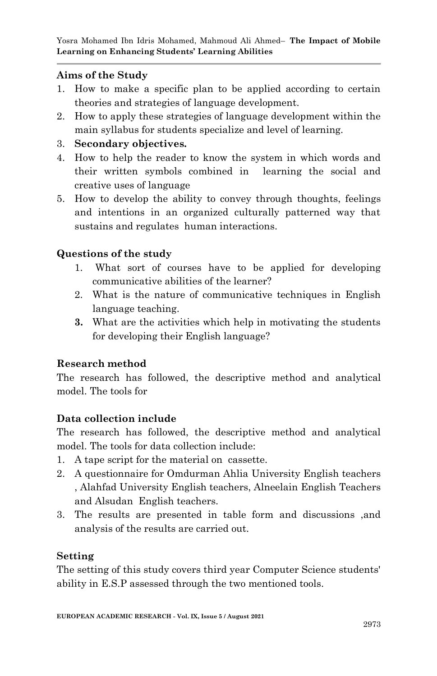### **Aims of the Study**

- 1. How to make a specific plan to be applied according to certain theories and strategies of language development.
- 2. How to apply these strategies of language development within the main syllabus for students specialize and level of learning.

### 3. **Secondary objectives.**

- 4. How to help the reader to know the system in which words and their written symbols combined in learning the social and creative uses of language
- 5. How to develop the ability to convey through thoughts, feelings and intentions in an organized culturally patterned way that sustains and regulates human interactions.

## **Questions of the study**

- 1. What sort of courses have to be applied for developing communicative abilities of the learner?
- 2. What is the nature of communicative techniques in English language teaching.
- **3.** What are the activities which help in motivating the students for developing their English language?

# **Research method**

The research has followed, the descriptive method and analytical model. The tools for

# **Data collection include**

The research has followed, the descriptive method and analytical model. The tools for data collection include:

- 1. A tape script for the material on cassette.
- 2. A questionnaire for Omdurman Ahlia University English teachers , Alahfad University English teachers, Alneelain English Teachers and Alsudan English teachers.
- 3. The results are presented in table form and discussions ,and analysis of the results are carried out.

### **Setting**

The setting of this study covers third year Computer Science students' ability in E.S.P assessed through the two mentioned tools.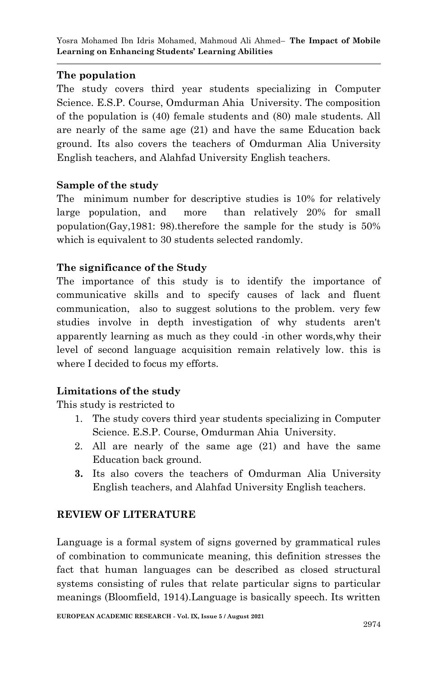### **The population**

The study covers third year students specializing in Computer Science. E.S.P. Course, Omdurman Ahia University. The composition of the population is (40) female students and (80) male students. All are nearly of the same age (21) and have the same Education back ground. Its also covers the teachers of Omdurman Alia University English teachers, and Alahfad University English teachers.

### **Sample of the study**

The minimum number for descriptive studies is 10% for relatively large population, and more than relatively 20% for small population(Gay,1981: 98).therefore the sample for the study is 50% which is equivalent to 30 students selected randomly.

### **The significance of the Study**

The importance of this study is to identify the importance of communicative skills and to specify causes of lack and fluent communication, also to suggest solutions to the problem. very few studies involve in depth investigation of why students aren't apparently learning as much as they could -in other words,why their level of second language acquisition remain relatively low. this is where I decided to focus my efforts.

### **Limitations of the study**

This study is restricted to

- 1. The study covers third year students specializing in Computer Science. E.S.P. Course, Omdurman Ahia University.
- 2. All are nearly of the same age (21) and have the same Education back ground.
- **3.** Its also covers the teachers of Omdurman Alia University English teachers, and Alahfad University English teachers.

### **REVIEW OF LITERATURE**

Language is a formal system of signs governed by grammatical rules of combination to communicate meaning, this definition stresses the fact that human languages can be described as closed structural systems consisting of rules that relate particular signs to particular meanings (Bloomfield, 1914).Language is basically speech. Its written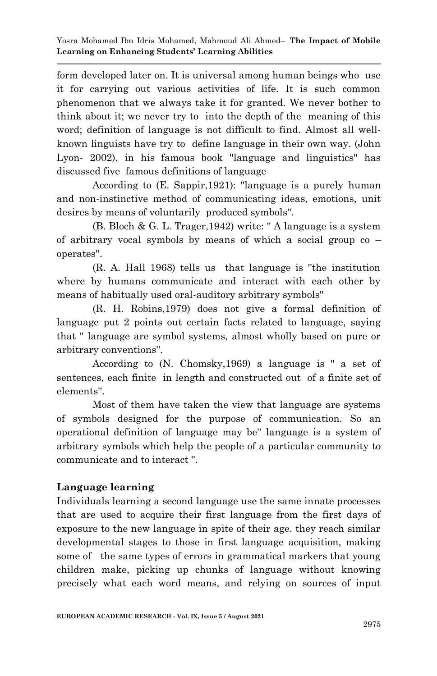form developed later on. It is universal among human beings who use it for carrying out various activities of life. It is such common phenomenon that we always take it for granted. We never bother to think about it; we never try to into the depth of the meaning of this word; definition of language is not difficult to find. Almost all wellknown linguists have try to define language in their own way. (John Lyon- 2002), in his famous book ''language and linguistics'' has discussed five famous definitions of language

According to (E. Sappir,1921): ''language is a purely human and non-instinctive method of communicating ideas, emotions, unit desires by means of voluntarily produced symbols''.

(B. Bloch & G. L. Trager,1942) write: '' A language is a system of arbitrary vocal symbols by means of which a social group co – operates''.

(R. A. Hall 1968) tells us that language is ''the institution where by humans communicate and interact with each other by means of habitually used oral-auditory arbitrary symbols''

(R. H. Robins,1979) does not give a formal definition of language put 2 points out certain facts related to language, saying that '' language are symbol systems, almost wholly based on pure or arbitrary conventions''.

According to (N. Chomsky,1969) a language is '' a set of sentences, each finite in length and constructed out of a finite set of elements''.

Most of them have taken the view that language are systems of symbols designed for the purpose of communication. So an operational definition of language may be'' language is a system of arbitrary symbols which help the people of a particular community to communicate and to interact ''.

### **Language learning**

Individuals learning a second language use the same innate processes that are used to acquire their first language from the first days of exposure to the new language in spite of their age. they reach similar developmental stages to those in first language acquisition, making some of the same types of errors in grammatical markers that young children make, picking up chunks of language without knowing precisely what each word means, and relying on sources of input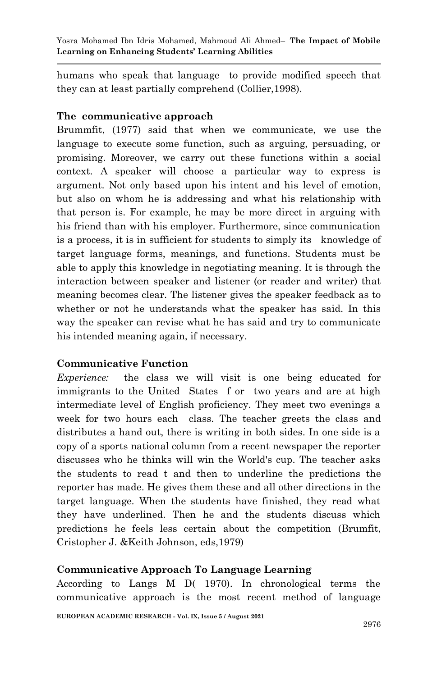humans who speak that language to provide modified speech that they can at least partially comprehend (Collier,1998).

### **The communicative approach**

Brummfit, (1977) said that when we communicate, we use the language to execute some function, such as arguing, persuading, or promising. Moreover, we carry out these functions within a social context. A speaker will choose a particular way to express is argument. Not only based upon his intent and his level of emotion, but also on whom he is addressing and what his relationship with that person is. For example, he may be more direct in arguing with his friend than with his employer. Furthermore, since communication is a process, it is in sufficient for students to simply its knowledge of target language forms, meanings, and functions. Students must be able to apply this knowledge in negotiating meaning. It is through the interaction between speaker and listener (or reader and writer) that meaning becomes clear. The listener gives the speaker feedback as to whether or not he understands what the speaker has said. In this way the speaker can revise what he has said and try to communicate his intended meaning again, if necessary.

### **Communicative Function**

*Experience:* the class we will visit is one being educated for immigrants to the United States f or two years and are at high intermediate level of English proficiency. They meet two evenings a week for two hours each class. The teacher greets the class and distributes a hand out, there is writing in both sides. In one side is a copy of a sports national column from a recent newspaper the reporter discusses who he thinks will win the World's cup. The teacher asks the students to read t and then to underline the predictions the reporter has made. He gives them these and all other directions in the target language. When the students have finished, they read what they have underlined. Then he and the students discuss which predictions he feels less certain about the competition (Brumfit, Cristopher J. &Keith Johnson, eds,1979)

### **Communicative Approach To Language Learning**

According to Langs M D( 1970). In chronological terms the communicative approach is the most recent method of language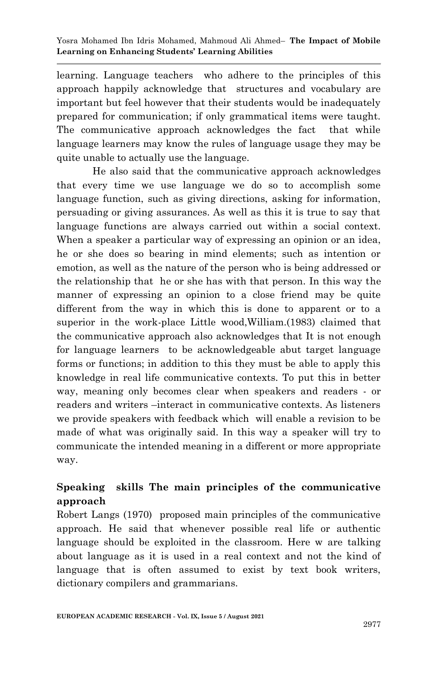learning. Language teachers who adhere to the principles of this approach happily acknowledge that structures and vocabulary are important but feel however that their students would be inadequately prepared for communication; if only grammatical items were taught. The communicative approach acknowledges the fact that while language learners may know the rules of language usage they may be quite unable to actually use the language.

He also said that the communicative approach acknowledges that every time we use language we do so to accomplish some language function, such as giving directions, asking for information, persuading or giving assurances. As well as this it is true to say that language functions are always carried out within a social context. When a speaker a particular way of expressing an opinion or an idea, he or she does so bearing in mind elements; such as intention or emotion, as well as the nature of the person who is being addressed or the relationship that he or she has with that person. In this way the manner of expressing an opinion to a close friend may be quite different from the way in which this is done to apparent or to a superior in the work-place Little wood,William.(1983) claimed that the communicative approach also acknowledges that It is not enough for language learners to be acknowledgeable abut target language forms or functions; in addition to this they must be able to apply this knowledge in real life communicative contexts. To put this in better way, meaning only becomes clear when speakers and readers - or readers and writers –interact in communicative contexts. As listeners we provide speakers with feedback which will enable a revision to be made of what was originally said. In this way a speaker will try to communicate the intended meaning in a different or more appropriate way.

# **Speaking skills The main principles of the communicative approach**

Robert Langs (1970) proposed main principles of the communicative approach. He said that whenever possible real life or authentic language should be exploited in the classroom. Here w are talking about language as it is used in a real context and not the kind of language that is often assumed to exist by text book writers, dictionary compilers and grammarians.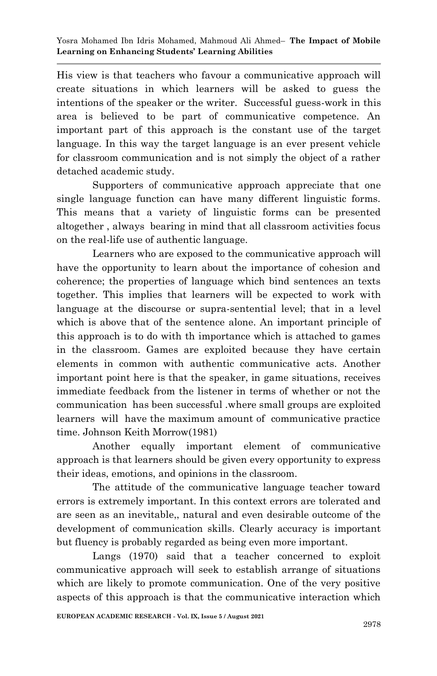His view is that teachers who favour a communicative approach will create situations in which learners will be asked to guess the intentions of the speaker or the writer. Successful guess-work in this area is believed to be part of communicative competence. An important part of this approach is the constant use of the target language. In this way the target language is an ever present vehicle for classroom communication and is not simply the object of a rather detached academic study.

Supporters of communicative approach appreciate that one single language function can have many different linguistic forms. This means that a variety of linguistic forms can be presented altogether , always bearing in mind that all classroom activities focus on the real-life use of authentic language.

Learners who are exposed to the communicative approach will have the opportunity to learn about the importance of cohesion and coherence; the properties of language which bind sentences an texts together. This implies that learners will be expected to work with language at the discourse or supra-sentential level; that in a level which is above that of the sentence alone. An important principle of this approach is to do with th importance which is attached to games in the classroom. Games are exploited because they have certain elements in common with authentic communicative acts. Another important point here is that the speaker, in game situations, receives immediate feedback from the listener in terms of whether or not the communication has been successful .where small groups are exploited learners will have the maximum amount of communicative practice time. Johnson Keith Morrow(1981)

Another equally important element of communicative approach is that learners should be given every opportunity to express their ideas, emotions, and opinions in the classroom.

The attitude of the communicative language teacher toward errors is extremely important. In this context errors are tolerated and are seen as an inevitable,, natural and even desirable outcome of the development of communication skills. Clearly accuracy is important but fluency is probably regarded as being even more important.

Langs (1970) said that a teacher concerned to exploit communicative approach will seek to establish arrange of situations which are likely to promote communication. One of the very positive aspects of this approach is that the communicative interaction which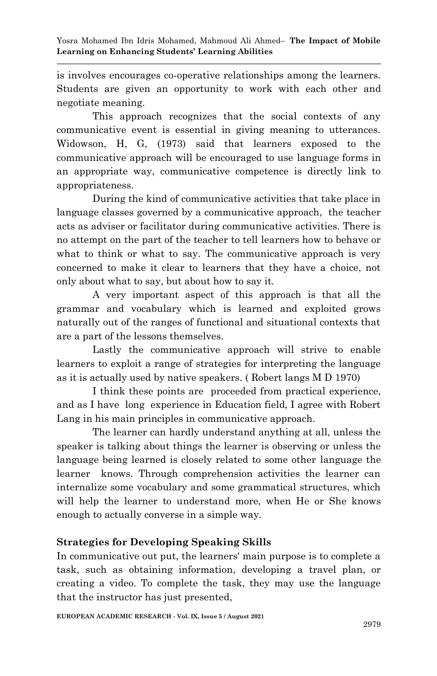is involves encourages co-operative relationships among the learners. Students are given an opportunity to work with each other and negotiate meaning.

This approach recognizes that the social contexts of any communicative event is essential in giving meaning to utterances. Widowson, H, G, (1973) said that learners exposed to the communicative approach will be encouraged to use language forms in an appropriate way, communicative competence is directly link to appropriateness.

During the kind of communicative activities that take place in language classes governed by a communicative approach, the teacher acts as adviser or facilitator during communicative activities. There is no attempt on the part of the teacher to tell learners how to behave or what to think or what to say. The communicative approach is very concerned to make it clear to learners that they have a choice, not only about what to say, but about how to say it.

A very important aspect of this approach is that all the grammar and vocabulary which is learned and exploited grows naturally out of the ranges of functional and situational contexts that are a part of the lessons themselves.

Lastly the communicative approach will strive to enable learners to exploit a range of strategies for interpreting the language as it is actually used by native speakers. ( Robert langs M D 1970)

I think these points are proceeded from practical experience, and as I have long experience in Education field, I agree with Robert Lang in his main principles in communicative approach.

The learner can hardly understand anything at all, unless the speaker is talking about things the learner is observing or unless the language being learned is closely related to some other language the learner knows. Through comprehension activities the learner can internalize some vocabulary and some grammatical structures, which will help the learner to understand more, when He or She knows enough to actually converse in a simple way.

### **Strategies for Developing Speaking Skills**

In communicative out put, the learners' main purpose is to complete a task, such as obtaining information, developing a travel plan, or creating a video. To complete the task, they may use the language that the instructor has just presented,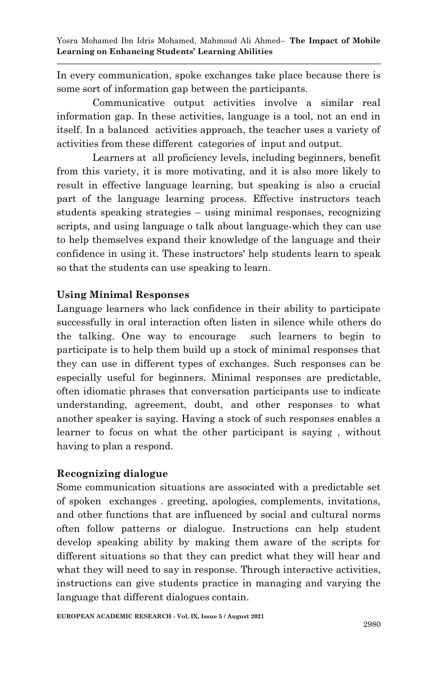Yosra Mohamed Ibn Idris Mohamed, Mahmoud Ali Ahmed– **The Impact of Mobile Learning on Enhancing Students' Learning Abilities**

In every communication, spoke exchanges take place because there is some sort of information gap between the participants.

Communicative output activities involve a similar real information gap. In these activities, language is a tool, not an end in itself. In a balanced activities approach, the teacher uses a variety of activities from these different categories of input and output.

Learners at all proficiency levels, including beginners, benefit from this variety, it is more motivating, and it is also more likely to result in effective language learning, but speaking is also a crucial part of the language learning process. Effective instructors teach students speaking strategies – using minimal responses, recognizing scripts, and using language o talk about language-which they can use to help themselves expand their knowledge of the language and their confidence in using it. These instructors' help students learn to speak so that the students can use speaking to learn.

### **Using Minimal Responses**

Language learners who lack confidence in their ability to participate successfully in oral interaction often listen in silence while others do the talking. One way to encourage such learners to begin to participate is to help them build up a stock of minimal responses that they can use in different types of exchanges. Such responses can be especially useful for beginners. Minimal responses are predictable, often idiomatic phrases that conversation participants use to indicate understanding, agreement, doubt, and other responses to what another speaker is saying. Having a stock of such responses enables a learner to focus on what the other participant is saying , without having to plan a respond.

#### **Recognizing dialogue**

Some communication situations are associated with a predictable set of spoken exchanges . greeting, apologies, complements, invitations, and other functions that are influenced by social and cultural norms often follow patterns or dialogue. Instructions can help student develop speaking ability by making them aware of the scripts for different situations so that they can predict what they will hear and what they will need to say in response. Through interactive activities, instructions can give students practice in managing and varying the language that different dialogues contain.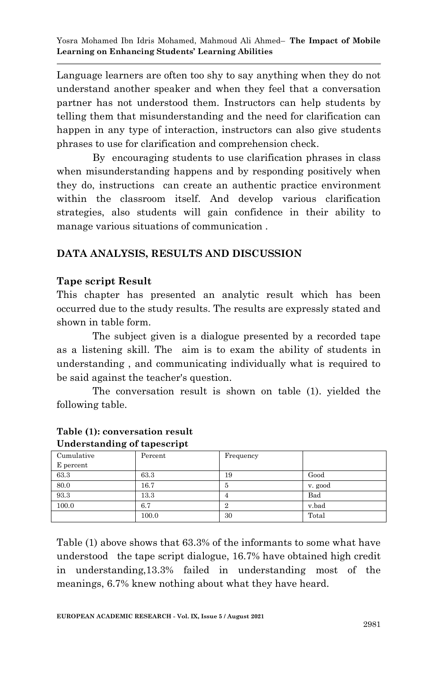Yosra Mohamed Ibn Idris Mohamed, Mahmoud Ali Ahmed– **The Impact of Mobile Learning on Enhancing Students' Learning Abilities**

Language learners are often too shy to say anything when they do not understand another speaker and when they feel that a conversation partner has not understood them. Instructors can help students by telling them that misunderstanding and the need for clarification can happen in any type of interaction, instructors can also give students phrases to use for clarification and comprehension check.

 By encouraging students to use clarification phrases in class when misunderstanding happens and by responding positively when they do, instructions can create an authentic practice environment within the classroom itself. And develop various clarification strategies, also students will gain confidence in their ability to manage various situations of communication .

### **DATA ANALYSIS, RESULTS AND DISCUSSION**

### **Tape script Result**

This chapter has presented an analytic result which has been occurred due to the study results. The results are expressly stated and shown in table form.

The subject given is a dialogue presented by a recorded tape as a listening skill. The aim is to exam the ability of students in understanding , and communicating individually what is required to be said against the teacher's question.

 The conversation result is shown on table (1). yielded the following table.

| Percent | Frequency |         |
|---------|-----------|---------|
|         |           |         |
| 63.3    | 19        | Good    |
| 16.7    | 5         | v. good |
| 13.3    |           | Bad     |
| 6.7     |           | v.bad   |
| 100.0   | 30        | Total   |
|         |           |         |

#### **Table (1): conversation result Understanding of tapescript**

Table (1) above shows that 63.3% of the informants to some what have understood the tape script dialogue, 16.7% have obtained high credit in understanding,13.3% failed in understanding most of the meanings, 6.7% knew nothing about what they have heard.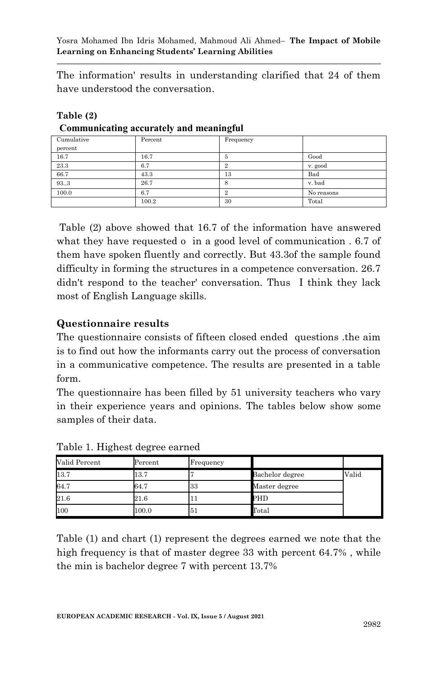The information' results in understanding clarified that 24 of them have understood the conversation.

| Cumulative | Percent | Frequency |            |
|------------|---------|-----------|------------|
| percent    |         |           |            |
| 16.7       | 16.7    |           | Good       |
| 23.3       | 6.7     |           | v. good    |
| 66.7       | 43.3    | 13        | Bad        |
| 93.3       | 26.7    | 8         | v. bad     |
| 100.0      | 6.7     | ິ         | No reasons |
|            | 100.2   | 30        | Total      |

#### **Table (2) Communicating accurately and meaningful**

Table (2) above showed that 16.7 of the information have answered what they have requested o in a good level of communication . 6.7 of them have spoken fluently and correctly. But 43.3of the sample found difficulty in forming the structures in a competence conversation. 26.7 didn't respond to the teacher' conversation. Thus I think they lack most of English Language skills.

### **Questionnaire results**

The questionnaire consists of fifteen closed ended questions .the aim is to find out how the informants carry out the process of conversation in a communicative competence. The results are presented in a table form.

The questionnaire has been filled by 51 university teachers who vary in their experience years and opinions. The tables below show some samples of their data.

| Valid Percent | Percent  | Frequency |                 |       |
|---------------|----------|-----------|-----------------|-------|
| 13.7          | 13.7     |           | Bachelor degree | Valid |
| 64.7          | 64.7     | 33        | Master degree   |       |
| 21.6          | $21.6\,$ |           | PHD             |       |
| 100           | 100.0    | 51        | $_{\rm Total}$  |       |

Table 1. Highest degree earned

Table (1) and chart (1) represent the degrees earned we note that the high frequency is that of master degree 33 with percent 64.7% , while the min is bachelor degree 7 with percent 13.7%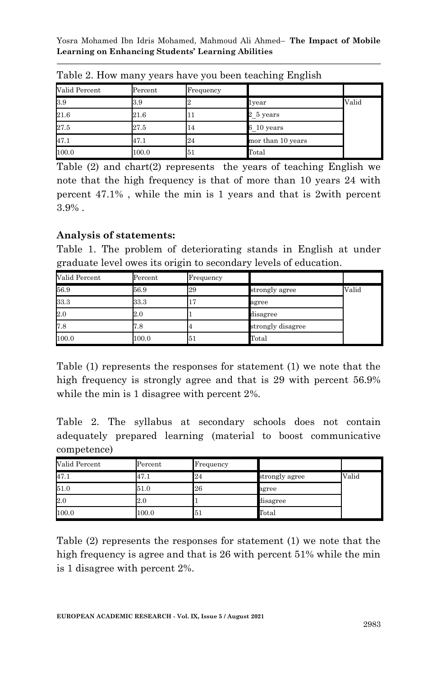Yosra Mohamed Ibn Idris Mohamed, Mahmoud Ali Ahmed– **The Impact of Mobile Learning on Enhancing Students' Learning Abilities**

|               | . .      | $\cdot$      | . .<br>. .        |       |
|---------------|----------|--------------|-------------------|-------|
| Valid Percent | Percent  | Frequency    |                   |       |
| 3.9           | 3.9      |              | lvear             | Valid |
| 21.6          | $21.6\,$ | $\mathbf{I}$ | 2 5 years         |       |
| 27.5          | 27.5     | 14           | 6 10 years        |       |
| 47.1          | 47.1     | 24           | mor than 10 years |       |
| 100.0         | 100.0    | 51           | Total             |       |

Table 2. How many years have you been teaching English

Table (2) and chart(2) represents the years of teaching English we note that the high frequency is that of more than 10 years 24 with percent 47.1% , while the min is 1 years and that is 2with percent 3.9% .

### **Analysis of statements:**

Table 1. The problem of deteriorating stands in English at under graduate level owes its origin to secondary levels of education.

| Valid Percent | Percent | Frequency |                   |       |
|---------------|---------|-----------|-------------------|-------|
| 56.9          | 56.9    | 29        | strongly agree    | Valid |
| 33.3          | 33.3    | 17        | agree             |       |
| 2.0           | 2.0     |           | disagree          |       |
| 7.8           | 7.8     |           | strongly disagree |       |
| 100.0         | 100.0   | 51        | Total             |       |

Table (1) represents the responses for statement (1) we note that the high frequency is strongly agree and that is 29 with percent 56.9% while the min is 1 disagree with percent  $2\%$ .

Table 2. The syllabus at secondary schools does not contain adequately prepared learning (material to boost communicative competence)

| Valid Percent | Percent | Frequency |                |       |
|---------------|---------|-----------|----------------|-------|
| 47.1          | 47.1    | 24        | strongly agree | Valid |
| 51.0          | 51.0    | 26        | agree          |       |
| 2.0           | 2.0     |           | disagree       |       |
| 100.0         | 100.0   | 51        | $_{\rm Total}$ |       |

Table (2) represents the responses for statement (1) we note that the high frequency is agree and that is 26 with percent 51% while the min is 1 disagree with percent 2%.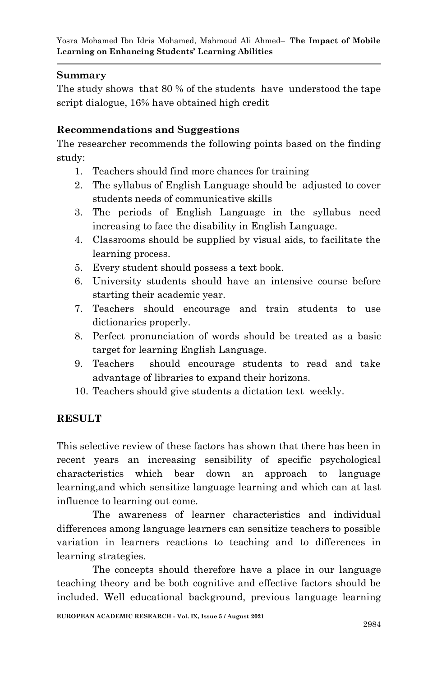### **Summary**

The study shows that 80 % of the students have understood the tape script dialogue, 16% have obtained high credit

### **Recommendations and Suggestions**

The researcher recommends the following points based on the finding study:

- 1. Teachers should find more chances for training
- 2. The syllabus of English Language should be adjusted to cover students needs of communicative skills
- 3. The periods of English Language in the syllabus need increasing to face the disability in English Language.
- 4. Classrooms should be supplied by visual aids, to facilitate the learning process.
- 5. Every student should possess a text book.
- 6. University students should have an intensive course before starting their academic year.
- 7. Teachers should encourage and train students to use dictionaries properly.
- 8. Perfect pronunciation of words should be treated as a basic target for learning English Language.
- 9. Teachers should encourage students to read and take advantage of libraries to expand their horizons.
- 10. Teachers should give students a dictation text weekly.

### **RESULT**

This selective review of these factors has shown that there has been in recent years an increasing sensibility of specific psychological characteristics which bear down an approach to language learning,and which sensitize language learning and which can at last influence to learning out come.

The awareness of learner characteristics and individual differences among language learners can sensitize teachers to possible variation in learners reactions to teaching and to differences in learning strategies.

The concepts should therefore have a place in our language teaching theory and be both cognitive and effective factors should be included. Well educational background, previous language learning